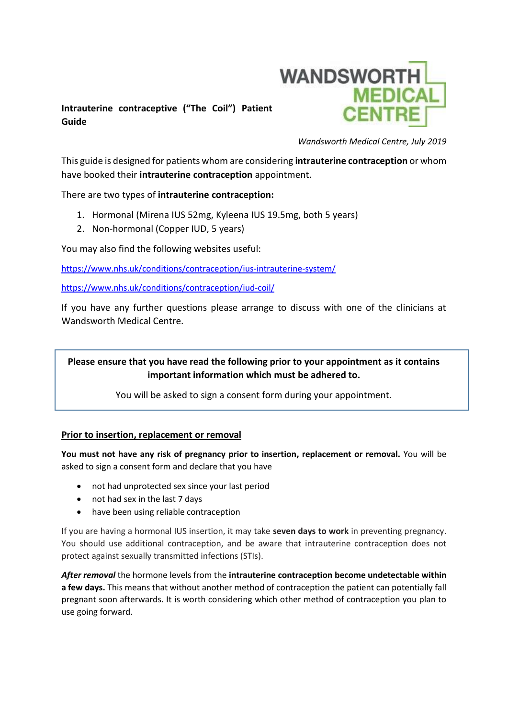

# **Intrauterine contraceptive ("The Coil") Patient Guide**

*Wandsworth Medical Centre, July 2019*

This guide is designed for patients whom are considering **intrauterine contraception** or whom have booked their **intrauterine contraception** appointment.

There are two types of **intrauterine contraception:**

- 1. Hormonal (Mirena IUS 52mg, Kyleena IUS 19.5mg, both 5 years)
- 2. Non-hormonal (Copper IUD, 5 years)

You may also find the following websites useful:

<https://www.nhs.uk/conditions/contraception/ius-intrauterine-system/>

<https://www.nhs.uk/conditions/contraception/iud-coil/>

If you have any further questions please arrange to discuss with one of the clinicians at Wandsworth Medical Centre.

## **Please ensure that you have read the following prior to your appointment as it contains important information which must be adhered to.**

You will be asked to sign a consent form during your appointment.

#### **Prior to insertion, replacement or removal**

**You must not have any risk of pregnancy prior to insertion, replacement or removal.** You will be asked to sign a consent form and declare that you have

- not had unprotected sex since your last period
- not had sex in the last 7 days
- have been using reliable contraception

If you are having a hormonal IUS insertion, it may take **seven days to work** in preventing pregnancy. You should use additional contraception, and be aware that intrauterine contraception does not protect against sexually transmitted infections (STIs).

*After removal* the hormone levels from the **intrauterine contraception become undetectable within a few days.** This means that without another method of contraception the patient can potentially fall pregnant soon afterwards. It is worth considering which other method of contraception you plan to use going forward.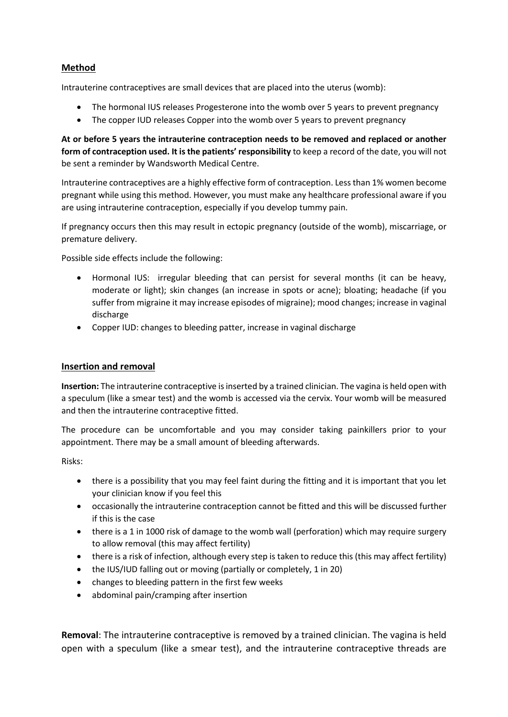## **Method**

Intrauterine contraceptives are small devices that are placed into the uterus (womb):

- The hormonal IUS releases Progesterone into the womb over 5 years to prevent pregnancy
- The copper IUD releases Copper into the womb over 5 years to prevent pregnancy

**At or before 5 years the intrauterine contraception needs to be removed and replaced or another form of contraception used. It is the patients' responsibility** to keep a record of the date, you will not be sent a reminder by Wandsworth Medical Centre.

Intrauterine contraceptives are a highly effective form of contraception. Less than 1% women become pregnant while using this method. However, you must make any healthcare professional aware if you are using intrauterine contraception, especially if you develop tummy pain.

If pregnancy occurs then this may result in ectopic pregnancy (outside of the womb), miscarriage, or premature delivery.

Possible side effects include the following:

- Hormonal IUS: irregular bleeding that can persist for several months (it can be heavy, moderate or light); skin changes (an increase in spots or acne); bloating; headache (if you suffer from migraine it may increase episodes of migraine); mood changes; increase in vaginal discharge
- Copper IUD: changes to bleeding patter, increase in vaginal discharge

#### **Insertion and removal**

**Insertion:** The intrauterine contraceptive is inserted by a trained clinician. The vagina is held open with a speculum (like a smear test) and the womb is accessed via the cervix. Your womb will be measured and then the intrauterine contraceptive fitted.

The procedure can be uncomfortable and you may consider taking painkillers prior to your appointment. There may be a small amount of bleeding afterwards.

Risks:

- there is a possibility that you may feel faint during the fitting and it is important that you let your clinician know if you feel this
- occasionally the intrauterine contraception cannot be fitted and this will be discussed further if this is the case
- there is a 1 in 1000 risk of damage to the womb wall (perforation) which may require surgery to allow removal (this may affect fertility)
- there is a risk of infection, although every step is taken to reduce this (this may affect fertility)
- the IUS/IUD falling out or moving (partially or completely, 1 in 20)
- changes to bleeding pattern in the first few weeks
- abdominal pain/cramping after insertion

**Removal**: The intrauterine contraceptive is removed by a trained clinician. The vagina is held open with a speculum (like a smear test), and the intrauterine contraceptive threads are